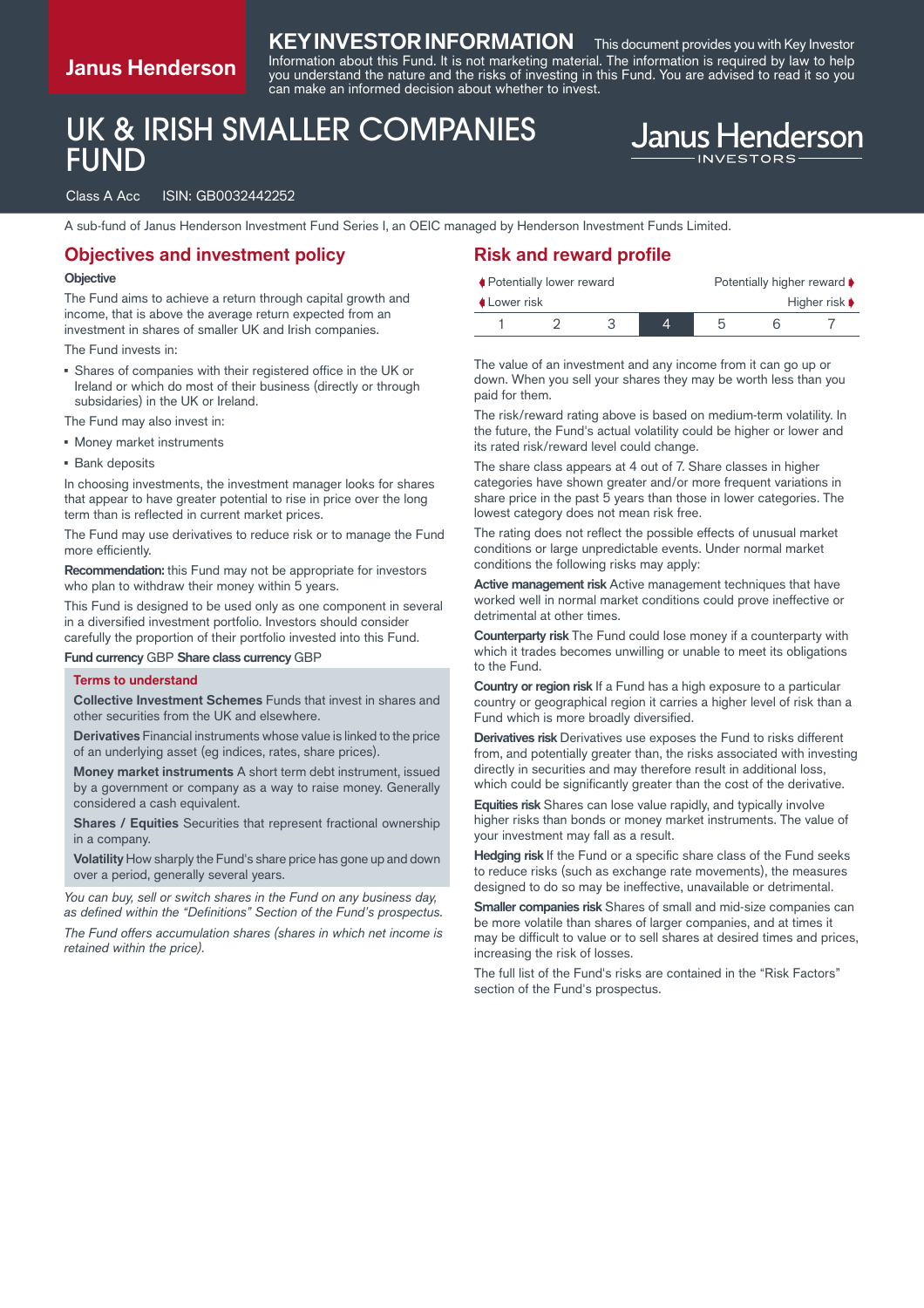# **Janus Henderson**

### **KEY INVESTOR INFORMATION** This document provides you with Key Investor

Information about this Fund. It is not marketing material. The information is required by law to help you understand the nature and the risks of investing in this Fund. You are advised to read it so you can make an informed decision about whether to invest.

# UK & IRISH SMALLER COMPANIES FUND

#### Class A Acc ISIN: GB0032442252

A sub-fund of Janus Henderson Investment Fund Series I, an OEIC managed by Henderson Investment Funds Limited.

### **Objectives and investment policy**

#### **Objective**

The Fund aims to achieve a return through capital growth and income, that is above the average return expected from an investment in shares of smaller UK and Irish companies.

#### The Fund invests in:

▪ Shares of companies with their registered office in the UK or Ireland or which do most of their business (directly or through subsidaries) in the UK or Ireland.

The Fund may also invest in:

- Money market instruments
- **Bank deposits**

In choosing investments, the investment manager looks for shares that appear to have greater potential to rise in price over the long term than is reflected in current market prices.

The Fund may use derivatives to reduce risk or to manage the Fund more efficiently.

**Recommendation:** this Fund may not be appropriate for investors who plan to withdraw their money within 5 years.

This Fund is designed to be used only as one component in several in a diversified investment portfolio. Investors should consider carefully the proportion of their portfolio invested into this Fund.

**Fund currency** GBP **Share class currency** GBP

#### **Terms to understand**

**Collective Investment Schemes** Funds that invest in shares and other securities from the UK and elsewhere.

**Derivatives** Financial instruments whose value is linked to the price of an underlying asset (eg indices, rates, share prices).

**Money market instruments** A short term debt instrument, issued by a government or company as a way to raise money. Generally considered a cash equivalent.

**Shares / Equities** Securities that represent fractional ownership in a company.

**Volatility** How sharply the Fund's share price has gone up and down over a period, generally several years.

*You can buy, sell or switch shares in the Fund on any business day, as defined within the "Definitions" Section of the Fund's prospectus.*

*The Fund offers accumulation shares (shares in which net income is retained within the price).*

### **Risk and reward profile**

|                    | ♦ Potentially lower reward |  | Potentially higher reward ♦ |  |  |                                   |
|--------------------|----------------------------|--|-----------------------------|--|--|-----------------------------------|
| <b>↓Lower risk</b> |                            |  |                             |  |  | Higher risk $\blacktriangleright$ |
|                    |                            |  |                             |  |  |                                   |

**Janus Henderson** 

The value of an investment and any income from it can go up or down. When you sell your shares they may be worth less than you paid for them.

The risk/reward rating above is based on medium-term volatility. In the future, the Fund's actual volatility could be higher or lower and its rated risk/reward level could change.

The share class appears at 4 out of 7. Share classes in higher categories have shown greater and/or more frequent variations in share price in the past 5 years than those in lower categories. The lowest category does not mean risk free.

The rating does not reflect the possible effects of unusual market conditions or large unpredictable events. Under normal market conditions the following risks may apply:

**Active management risk** Active management techniques that have worked well in normal market conditions could prove ineffective or detrimental at other times.

**Counterparty risk** The Fund could lose money if a counterparty with which it trades becomes unwilling or unable to meet its obligations to the Fund.

**Country or region risk** If a Fund has a high exposure to a particular country or geographical region it carries a higher level of risk than a Fund which is more broadly diversified.

**Derivatives risk** Derivatives use exposes the Fund to risks different from, and potentially greater than, the risks associated with investing directly in securities and may therefore result in additional loss, which could be significantly greater than the cost of the derivative.

**Equities risk** Shares can lose value rapidly, and typically involve higher risks than bonds or money market instruments. The value of your investment may fall as a result.

**Hedging risk** If the Fund or a specific share class of the Fund seeks to reduce risks (such as exchange rate movements), the measures designed to do so may be ineffective, unavailable or detrimental.

**Smaller companies risk** Shares of small and mid-size companies can be more volatile than shares of larger companies, and at times it may be difficult to value or to sell shares at desired times and prices, increasing the risk of losses.

The full list of the Fund's risks are contained in the "Risk Factors" section of the Fund's prospectus.